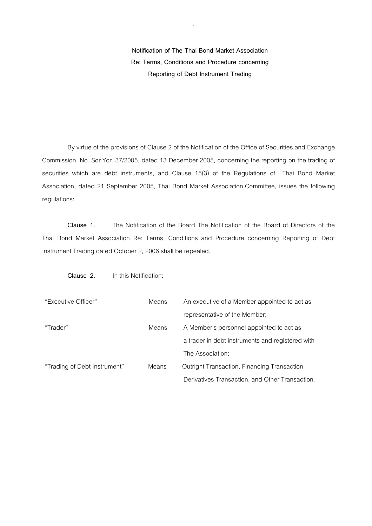**Notification of The Thai Bond Market Association Re: Terms, Conditions and Procedure concerning Reporting of Debt Instrument Trading** 

 By virtue of the provisions of Clause 2 of the Notification of the Office of Securities and Exchange Commission, No. Sor.Yor. 37/2005, dated 13 December 2005, concerning the reporting on the trading of securities which are debt instruments, and Clause 15(3) of the Regulations of Thai Bond Market Association, dated 21 September 2005, Thai Bond Market Association Committee, issues the following regulations:

**Clause 1.** The Notification of the Board The Notification of the Board of Directors of the Thai Bond Market Association Re: Terms, Conditions and Procedure concerning Reporting of Debt Instrument Trading dated October 2, 2006 shall be repealed.

 **Clause 2.** In this Notification:

| "Executive Officer"          | Means | An executive of a Member appointed to act as     |
|------------------------------|-------|--------------------------------------------------|
|                              |       | representative of the Member;                    |
| "Trader"                     | Means | A Member's personnel appointed to act as         |
|                              |       | a trader in debt instruments and registered with |
|                              |       | The Association;                                 |
| "Trading of Debt Instrument" | Means | Outright Transaction, Financing Transaction      |
|                              |       | Derivatives Transaction, and Other Transaction.  |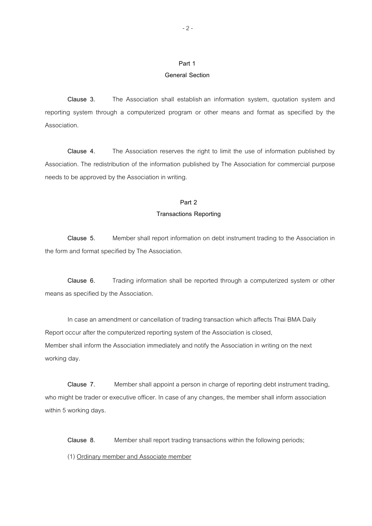#### **General Section**

 **Clause 3.** The Association shall establish an information system, quotation system and reporting system through a computerized program or other means and format as specified by the Association.

 **Clause 4.** The Association reserves the right to limit the use of information published by Association. The redistribution of the information published by The Association for commercial purpose needs to be approved by the Association in writing.

#### **Part 2**

#### **Transactions Reporting**

 **Clause 5.** Member shall report information on debt instrument trading to the Association in the form and format specified by The Association.

 **Clause 6.** Trading information shall be reported through a computerized system or other means as specified by the Association.

In case an amendment or cancellation of trading transaction which affects Thai BMA Daily Report occur after the computerized reporting system of the Association is closed, Member shall inform the Association immediately and notify the Association in writing on the next working day.

**Clause 7.** Member shall appoint a person in charge of reporting debt instrument trading, who might be trader or executive officer. In case of any changes, the member shall inform association within 5 working days.

**Clause 8.** Member shall report trading transactions within the following periods;

(1) Ordinary member and Associate member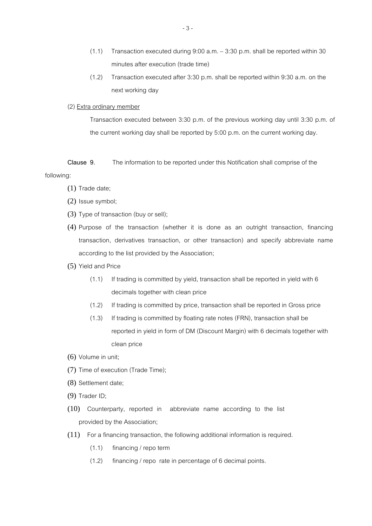- (1.1) Transaction executed during 9:00 a.m. < 3:30 p.m. shall be reported within 30 minutes after execution (trade time)
- (1.2) Transaction executed after 3:30 p.m. shall be reported within 9:30 a.m. on the next working day

#### (2) Extra ordinary member

Transaction executed between 3:30 p.m. of the previous working day until 3:30 p.m. of the current working day shall be reported by 5:00 p.m. on the current working day.

**Clause 9.** The information to be reported under this Notification shall comprise of the following:

- (1) Trade date;
- (2) Issue symbol;
- (3) Type of transaction (buy or sell);
- (4) Purpose of the transaction (whether it is done as an outright transaction, financing transaction, derivatives transaction, or other transaction) and specify abbreviate name according to the list provided by the Association;
- (5) Yield and Price
	- (1.1) If trading is committed by yield, transaction shall be reported in yield with 6 decimals together with clean price
	- (1.2) If trading is committed by price, transaction shall be reported in Gross price
	- (1.3) If trading is committed by floating rate notes (FRN), transaction shall be reported in yield in form of DM (Discount Margin) with 6 decimals together with clean price
- (6) Volume in unit;
- (7) Time of execution (Trade Time);
- (8) Settlement date;
- (9) Trader ID;
- (10) Counterparty, reported in abbreviate name according to the list provided by the Association;
- (11) For a financing transaction, the following additional information is required.
	- (1.1) financing / repo term
	- (1.2) financing / repo rate in percentage of 6 decimal points.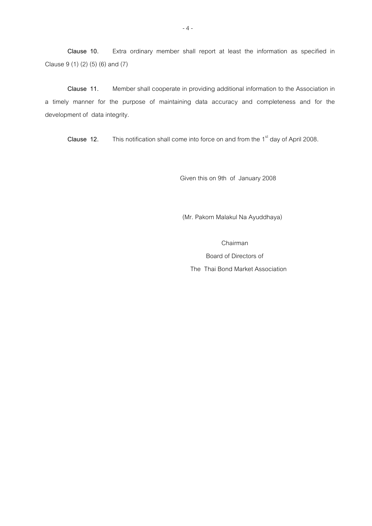**Clause 10.** Extra ordinary member shall report at least the information as specified in Clause 9 (1) (2) (5) (6) and (7)

 **Clause 11.** Member shall cooperate in providing additional information to the Association in a timely manner for the purpose of maintaining data accuracy and completeness and for the development of data integrity.

**Clause 12.** This notification shall come into force on and from the 1<sup>st</sup> day of April 2008.

Given this on 9th of January 2008

(Mr. Pakorn Malakul Na Ayuddhaya)

Chairman

 Board of Directors of The Thai Bond Market Association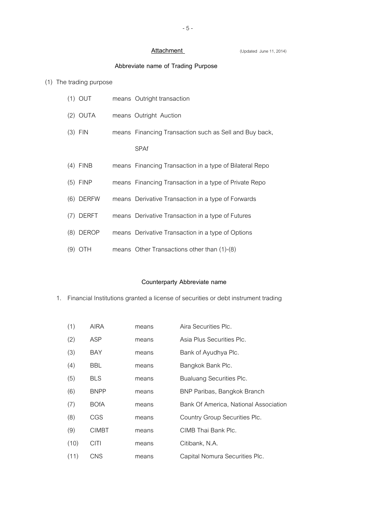Attachment **COMPART COMPOSED (Updated June 11, 2014)** 

# **Abbreviate name of Trading Purpose**

## (1) The trading purpose

|     | $(1)$ OUT   | means Outright transaction                              |
|-----|-------------|---------------------------------------------------------|
|     | $(2)$ OUTA  | means Outright Auction                                  |
|     | $(3)$ FIN   | means Financing Transaction such as Sell and Buy back,  |
|     |             | <b>SPAf</b>                                             |
|     | $(4)$ FINB  | means Financing Transaction in a type of Bilateral Repo |
|     | $(5)$ FINP  | means Financing Transaction in a type of Private Repo   |
|     | $(6)$ DERFW | means Derivative Transaction in a type of Forwards      |
|     | $(7)$ DERFT | means Derivative Transaction in a type of Futures       |
|     | (8) DEROP   | means Derivative Transaction in a type of Options       |
| (9) | <b>OTH</b>  | means Other Transactions other than (1)-(8)             |

## **Counterparty Abbreviate name**

#### 1. Financial Institutions granted a license of securities or debt instrument trading

| (1)  | <b>AIRA</b>  | means | Aira Securities Plc.                  |
|------|--------------|-------|---------------------------------------|
| (2)  | ASP          | means | Asia Plus Securities Plc.             |
| (3)  | <b>BAY</b>   | means | Bank of Ayudhya Plc.                  |
| (4)  | BBL.         | means | Bangkok Bank Plc.                     |
| (5)  | <b>BLS</b>   | means | Bualuang Securities Plc.              |
| (6)  | <b>BNPP</b>  | means | BNP Paribas, Bangkok Branch           |
| (7)  | <b>BOfA</b>  | means | Bank Of America, National Association |
| (8)  | <b>CGS</b>   | means | Country Group Securities Plc.         |
| (9)  | <b>CIMBT</b> | means | CIMB Thai Bank Plc.                   |
| (10) | <b>CITI</b>  | means | Citibank, N.A.                        |
| (11) | <b>CNS</b>   | means | Capital Nomura Securities Plc.        |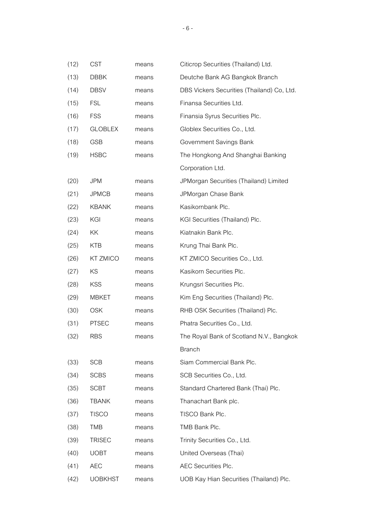| (12) | <b>CST</b>     | means | Citicrop Securities (Thailand) Ltd.        |
|------|----------------|-------|--------------------------------------------|
| (13) | <b>DBBK</b>    | means | Deutche Bank AG Bangkok Branch             |
| (14) | <b>DBSV</b>    | means | DBS Vickers Securities (Thailand) Co, Ltd. |
| (15) | <b>FSL</b>     | means | Finansa Securities Ltd.                    |
| (16) | <b>FSS</b>     | means | Finansia Syrus Securities Plc.             |
| (17) | <b>GLOBLEX</b> | means | Globlex Securities Co., Ltd.               |
| (18) | <b>GSB</b>     | means | Government Savings Bank                    |
| (19) | <b>HSBC</b>    | means | The Hongkong And Shanghai Banking          |
|      |                |       | Corporation Ltd.                           |
| (20) | <b>JPM</b>     | means | JPMorgan Securities (Thailand) Limited     |
| (21) | <b>JPMCB</b>   | means | JPMorgan Chase Bank                        |
| (22) | <b>KBANK</b>   | means | Kasikornbank Plc.                          |
| (23) | KGI            | means | KGI Securities (Thailand) Plc.             |
| (24) | ΚK             | means | Kiatnakin Bank Plc.                        |
| (25) | <b>KTB</b>     | means | Krung Thai Bank Plc.                       |
| (26) | KT ZMICO       | means | KT ZMICO Securities Co., Ltd.              |
| (27) | KS             | means | Kasikorn Securities Plc.                   |
| (28) | <b>KSS</b>     | means | Krungsri Securities Plc.                   |
| (29) | <b>MBKET</b>   | means | Kim Eng Securities (Thailand) Plc.         |
| (30) | <b>OSK</b>     | means | RHB OSK Securities (Thailand) Plc.         |
| (31) | <b>PTSEC</b>   | means | Phatra Securities Co., Ltd.                |
| (32) | <b>RBS</b>     | means | The Royal Bank of Scotland N.V., Bangkok   |
|      |                |       | <b>Branch</b>                              |
| (33) | <b>SCB</b>     | means | Siam Commercial Bank Plc.                  |
| (34) | <b>SCBS</b>    | means | SCB Securities Co., Ltd.                   |
| (35) | <b>SCBT</b>    | means | Standard Chartered Bank (Thai) Plc.        |
| (36) | <b>TBANK</b>   | means | Thanachart Bank plc.                       |
| (37) | <b>TISCO</b>   | means | TISCO Bank Plc.                            |
| (38) | <b>TMB</b>     | means | TMB Bank Plc.                              |
| (39) | <b>TRISEC</b>  | means | Trinity Securities Co., Ltd.               |
| (40) | <b>UOBT</b>    | means | United Overseas (Thai)                     |
| (41) | <b>AEC</b>     | means | AEC Securities Plc.                        |
| (42) | <b>UOBKHST</b> | means | UOB Kay Hian Securities (Thailand) Plc.    |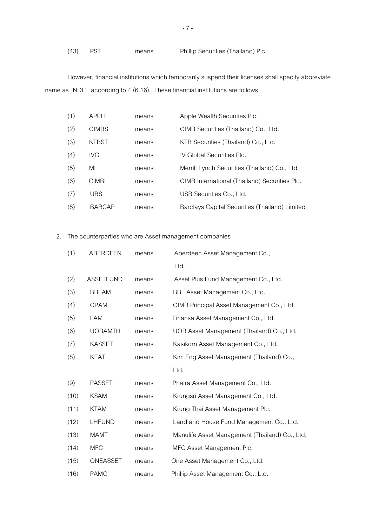```
(43) PST means Phillip Securities (Thailand) Plc.
```
 However, financial institutions which temporarily suspend their licenses shall specify abbreviate name as "NDL" according to 4 (6.16). These financial institutions are follows:

| (1) | APPLE         | means | Apple Wealth Securities Plc.                   |
|-----|---------------|-------|------------------------------------------------|
| (2) | <b>CIMBS</b>  | means | CIMB Securities (Thailand) Co., Ltd.           |
| (3) | <b>KTBST</b>  | means | KTB Securities (Thailand) Co., Ltd.            |
| (4) | IVG.          | means | IV Global Securities Plc.                      |
| (5) | ML            | means | Merrill Lynch Securities (Thailand) Co., Ltd.  |
| (6) | CIMBI         | means | CIMB International (Thailand) Securities Plc.  |
| (7) | UBS           | means | USB Securities Co., Ltd.                       |
| (8) | <b>BARCAP</b> | means | Barclays Capital Securities (Thailand) Limited |

2. The counterparties who are Asset management companies

| (1)  | <b>ABERDEEN</b>  | means | Aberdeen Asset Management Co.,                 |
|------|------------------|-------|------------------------------------------------|
|      |                  |       | Ltd.                                           |
| (2)  | <b>ASSETFUND</b> | means | Asset Plus Fund Management Co., Ltd.           |
| (3)  | <b>BBLAM</b>     | means | BBL Asset Management Co., Ltd.                 |
| (4)  | <b>CPAM</b>      | means | CIMB Principal Asset Management Co., Ltd.      |
| (5)  | <b>FAM</b>       | means | Finansa Asset Management Co., Ltd.             |
| (6)  | <b>UOBAMTH</b>   | means | UOB Asset Management (Thailand) Co., Ltd.      |
| (7)  | <b>KASSET</b>    | means | Kasikorn Asset Management Co., Ltd.            |
| (8)  | <b>KEAT</b>      | means | Kim Eng Asset Management (Thailand) Co.,       |
|      |                  |       | Ltd.                                           |
| (9)  | <b>PASSET</b>    | means | Phatra Asset Management Co., Ltd.              |
| (10) | <b>KSAM</b>      | means | Krungsri Asset Management Co., Ltd.            |
| (11) | <b>KTAM</b>      | means | Krung Thai Asset Management Plc.               |
| (12) | LHFUND           | means | Land and House Fund Management Co., Ltd.       |
| (13) | <b>MAMT</b>      | means | Manulife Asset Management (Thailand) Co., Ltd. |
| (14) | <b>MFC</b>       | means | MFC Asset Management Plc.                      |
| (15) | ONEASSET         | means | One Asset Management Co., Ltd.                 |
| (16) | <b>PAMC</b>      | means | Phillip Asset Management Co., Ltd.             |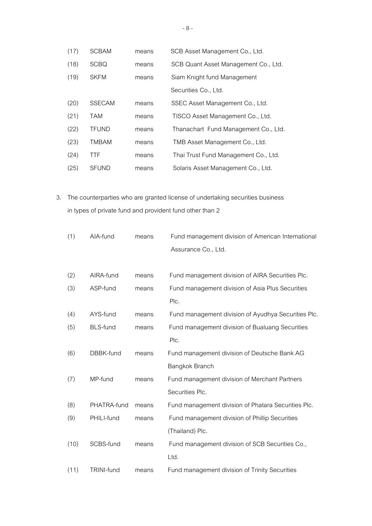| (17) | <b>SCBAM</b>  | means | SCB Asset Management Co., Ltd.       |
|------|---------------|-------|--------------------------------------|
| (18) | <b>SCBQ</b>   | means | SCB Quant Asset Management Co., Ltd. |
| (19) | <b>SKFM</b>   | means | Siam Knight fund Management          |
|      |               |       | Securities Co., Ltd.                 |
| (20) | <b>SSECAM</b> | means | SSEC Asset Management Co., Ltd.      |
| (21) | <b>TAM</b>    | means | TISCO Asset Management Co., Ltd.     |
| (22) | <b>TFUND</b>  | means | Thanachart Fund Management Co., Ltd. |
| (23) | <b>TMBAM</b>  | means | TMB Asset Management Co., Ltd.       |
| (24) | <b>TTF</b>    | means | Thai Trust Fund Management Co., Ltd. |
| (25) | <b>SFUND</b>  | means | Solaris Asset Management Co., Ltd.   |

3. The counterparties who are granted license of undertaking securities business in types of private fund and provident fund other than 2

| (1)  | AIA-fund          | means | Fund management division of American International  |
|------|-------------------|-------|-----------------------------------------------------|
|      |                   |       | Assurance Co., Ltd.                                 |
|      |                   |       |                                                     |
| (2)  | AIRA-fund         | means | Fund management division of AIRA Securities Plc.    |
| (3)  | ASP-fund          | means | Fund management division of Asia Plus Securities    |
|      |                   |       | Plc.                                                |
| (4)  | AYS-fund          | means | Fund management division of Ayudhya Securities Plc. |
| (5)  | <b>BLS-fund</b>   | means | Fund management division of Bualuang Securities     |
|      |                   |       | Plc.                                                |
| (6)  | DBBK-fund         | means | Fund management division of Deutsche Bank AG        |
|      |                   |       | Bangkok Branch                                      |
| (7)  | MP-fund           | means | Fund management division of Merchant Partners       |
|      |                   |       | Securities Plc.                                     |
| (8)  | PHATRA-fund       | means | Fund management division of Phatara Securities Plc. |
| (9)  | PHILI-fund        | means | Fund management division of Phillip Securities      |
|      |                   |       | (Thailand) Plc.                                     |
| (10) | SCBS-fund         | means | Fund management division of SCB Securities Co.,     |
|      |                   |       | Ltd.                                                |
| (11) | <b>TRINI-fund</b> | means | Fund management division of Trinity Securities      |
|      |                   |       |                                                     |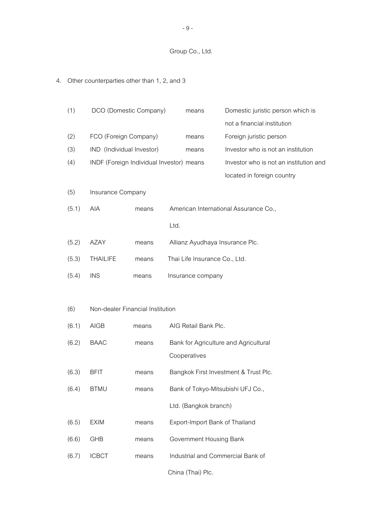## Group Co., Ltd.

# 4. Other counterparties other than 1, 2, and 3

| (1)   | DCO (Domestic Company)                   |       |      | means                           | Domestic juristic person which is      |
|-------|------------------------------------------|-------|------|---------------------------------|----------------------------------------|
|       |                                          |       |      |                                 | not a financial institution            |
| (2)   | FCO (Foreign Company)                    |       |      | means                           | Foreign juristic person                |
| (3)   | IND (Individual Investor)                |       |      | means                           | Investor who is not an institution     |
| (4)   | INDF (Foreign Individual Investor) means |       |      |                                 | Investor who is not an institution and |
|       |                                          |       |      |                                 | located in foreign country             |
| (5)   | Insurance Company                        |       |      |                                 |                                        |
| (5.1) | <b>AIA</b>                               | means |      |                                 | American International Assurance Co.,  |
|       |                                          |       | Ltd. |                                 |                                        |
| (5.2) | <b>AZAY</b>                              | means |      | Allianz Ayudhaya Insurance Plc. |                                        |
| (5.3) | <b>THAILIFE</b>                          | means |      | Thai Life Insurance Co., Ltd.   |                                        |
| (5.4) | <b>INS</b>                               | means |      | Insurance company               |                                        |
|       |                                          |       |      |                                 |                                        |
| (6)   | Non-dealer Financial Institution         |       |      |                                 |                                        |
| (6.1) | <b>AIGB</b>                              | means |      | AIG Retail Bank Plc.            |                                        |
| (6.2) | <b>BAAC</b>                              | means |      |                                 | Bank for Agriculture and Agricultural  |
|       |                                          |       |      | Cooperatives                    |                                        |
| (6.3) | <b>BFIT</b>                              | means |      |                                 | Bangkok First Investment & Trust Plc.  |
| (6.4) | <b>BTMU</b>                              | means |      |                                 | Bank of Tokyo-Mitsubishi UFJ Co.,      |
|       |                                          |       |      | Ltd. (Bangkok branch)           |                                        |
| (6.5) | <b>EXIM</b>                              | means |      | Export-Import Bank of Thailand  |                                        |
| (6.6) | GHB                                      | means |      | Government Housing Bank         |                                        |
| (6.7) | <b>ICBCT</b>                             | means |      |                                 | Industrial and Commercial Bank of      |
|       |                                          |       |      | China (Thai) Plc.               |                                        |